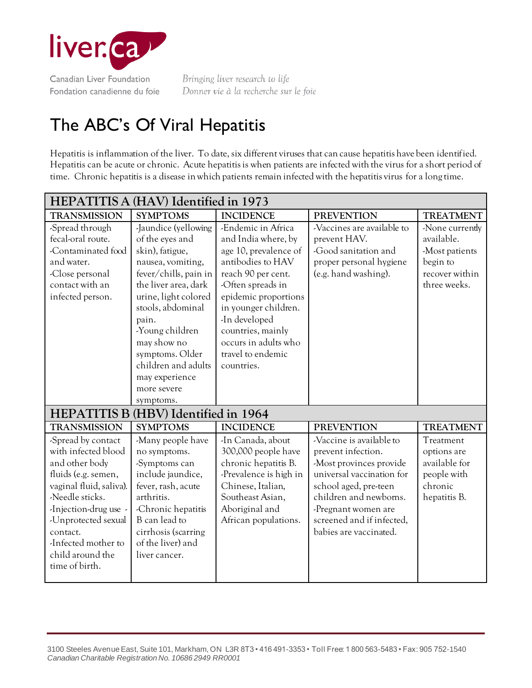

Bringing liver research to life Donner vie à la recherche sur le foie

## The ABC's Of Viral Hepatitis

Hepatitis is inflammation of the liver. To date, six different viruses that can cause hepatitis have been identified. Hepatitis can be acute or chronic. Acute hepatitis is when patients are infected with the virus for a short period of time. Chronic hepatitis is a disease in which patients remain infected with the hepatitis virus for a long time.

| HEPATITIS A (HAV) Identified in 1973                                                                                                                                                                                                                      |                                                                                                                                                                                                                                                                                                                  |                                                                                                                                                                                                                                                                                     |                                                                                                                                                                                                                                         |                                                                                               |  |  |  |
|-----------------------------------------------------------------------------------------------------------------------------------------------------------------------------------------------------------------------------------------------------------|------------------------------------------------------------------------------------------------------------------------------------------------------------------------------------------------------------------------------------------------------------------------------------------------------------------|-------------------------------------------------------------------------------------------------------------------------------------------------------------------------------------------------------------------------------------------------------------------------------------|-----------------------------------------------------------------------------------------------------------------------------------------------------------------------------------------------------------------------------------------|-----------------------------------------------------------------------------------------------|--|--|--|
| <b>TRANSMISSION</b>                                                                                                                                                                                                                                       | <b>SYMPTOMS</b>                                                                                                                                                                                                                                                                                                  | <b>INCIDENCE</b>                                                                                                                                                                                                                                                                    | <b>PREVENTION</b>                                                                                                                                                                                                                       | <b>TREATMENT</b>                                                                              |  |  |  |
| -Spread through<br>fecal-oral route.<br>-Contaminated food<br>and water.<br>-Close personal<br>contact with an<br>infected person.                                                                                                                        | -Jaundice (yellowing<br>of the eyes and<br>skin), fatigue,<br>nausea, vomiting,<br>fever/chills, pain in<br>the liver area, dark<br>urine, light colored<br>stools, abdominal<br>pain.<br>-Young children<br>may show no<br>symptoms. Older<br>children and adults<br>may experience<br>more severe<br>symptoms. | -Endemic in Africa<br>and India where, by<br>age 10, prevalence of<br>antibodies to HAV<br>reach 90 per cent.<br>-Often spreads in<br>epidemic proportions<br>in younger children.<br>-In developed<br>countries, mainly<br>occurs in adults who<br>travel to endemic<br>countries. | -Vaccines are available to<br>prevent HAV.<br>-Good sanitation and<br>proper personal hygiene<br>(e.g. hand washing).                                                                                                                   | -None currently<br>available.<br>-Most patients<br>begin to<br>recover within<br>three weeks. |  |  |  |
| <b>HEPATITIS B (HBV)</b> Identified in 1964                                                                                                                                                                                                               |                                                                                                                                                                                                                                                                                                                  |                                                                                                                                                                                                                                                                                     |                                                                                                                                                                                                                                         |                                                                                               |  |  |  |
| <b>TRANSMISSION</b>                                                                                                                                                                                                                                       | <b>SYMPTOMS</b>                                                                                                                                                                                                                                                                                                  | <b>INCIDENCE</b>                                                                                                                                                                                                                                                                    | <b>PREVENTION</b>                                                                                                                                                                                                                       | <b>TREATMENT</b>                                                                              |  |  |  |
| -Spread by contact<br>with infected blood<br>and other body<br>fluids (e.g. semen,<br>vaginal fluid, saliva).<br>-Needle sticks.<br>-Injection-drug use -<br>-Unprotected sexual<br>contact.<br>-Infected mother to<br>child around the<br>time of birth. | -Many people have<br>no symptoms.<br>-Symptoms can<br>include jaundice,<br>fever, rash, acute<br>arthritis.<br>-Chronic hepatitis<br>B can lead to<br>cirrhosis (scarring<br>of the liver) and<br>liver cancer.                                                                                                  | -In Canada, about<br>300,000 people have<br>chronic hepatitis B.<br>-Prevalence is high in<br>Chinese, Italian,<br>Southeast Asian,<br>Aboriginal and<br>African populations.                                                                                                       | -Vaccine is available to<br>prevent infection.<br>-Most provinces provide<br>universal vaccination for<br>school aged, pre-teen<br>children and newborns.<br>-Pregnant women are<br>screened and if infected,<br>babies are vaccinated. | Treatment<br>options are<br>available for<br>people with<br>chronic<br>hepatitis B.           |  |  |  |